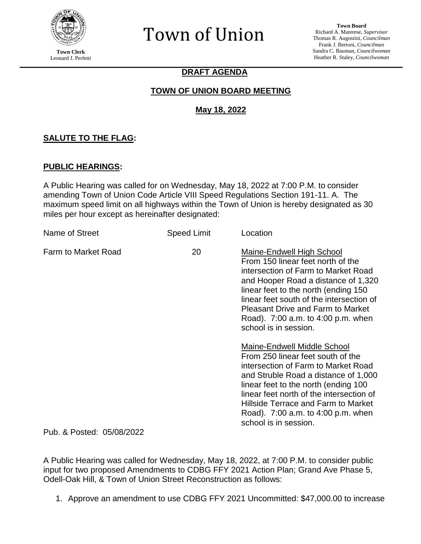

**Town Clerk** Leonard J. Perfetti

# Town of Union

# **DRAFT AGENDA**

# **TOWN OF UNION BOARD MEETING**

# **May 18, 2022**

# **SALUTE TO THE FLAG:**

#### **PUBLIC HEARINGS:**

A Public Hearing was called for on Wednesday, May 18, 2022 at 7:00 P.M. to consider amending Town of Union Code Article VIII Speed Regulations Section 191-11. A. The maximum speed limit on all highways within the Town of Union is hereby designated as 30 miles per hour except as hereinafter designated:

| Name of Street             | <b>Speed Limit</b> | Location                                                                                                                                                                                                                                                                                                                                     |
|----------------------------|--------------------|----------------------------------------------------------------------------------------------------------------------------------------------------------------------------------------------------------------------------------------------------------------------------------------------------------------------------------------------|
| <b>Farm to Market Road</b> | 20                 | Maine-Endwell High School<br>From 150 linear feet north of the<br>intersection of Farm to Market Road<br>and Hooper Road a distance of 1,320<br>linear feet to the north (ending 150)<br>linear feet south of the intersection of<br><b>Pleasant Drive and Farm to Market</b><br>Road). 7:00 a.m. to 4:00 p.m. when<br>school is in session. |
|                            |                    | Maine-Endwell Middle School<br>From 250 linear feet south of the<br>intersection of Farm to Market Road<br>and Struble Road a distance of 1,000<br>linear feet to the north (ending 100)<br>linear feet north of the intersection of<br>Hillside Terrace and Farm to Market<br>Road). 7:00 a.m. to 4:00 p.m. when<br>school is in session.   |

Pub. & Posted: 05/08/2022

A Public Hearing was called for Wednesday, May 18, 2022, at 7:00 P.M. to consider public input for two proposed Amendments to CDBG FFY 2021 Action Plan; Grand Ave Phase 5, Odell-Oak Hill, & Town of Union Street Reconstruction as follows:

1. Approve an amendment to use CDBG FFY 2021 Uncommitted: \$47,000.00 to increase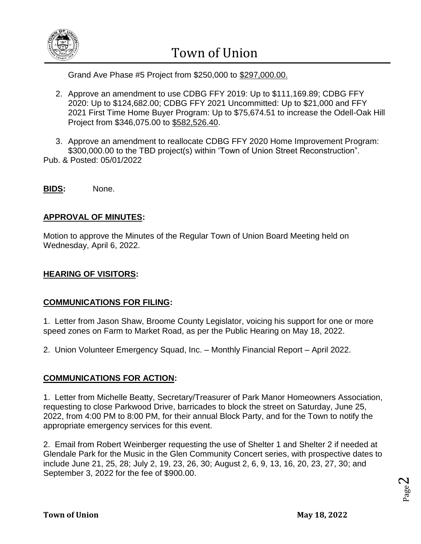

Town of Union

Grand Ave Phase #5 Project from \$250,000 to \$297,000.00.

- 2. Approve an amendment to use CDBG FFY 2019: Up to \$111,169.89; CDBG FFY 2020: Up to \$124,682.00; CDBG FFY 2021 Uncommitted: Up to \$21,000 and FFY 2021 First Time Home Buyer Program: Up to \$75,674.51 to increase the Odell-Oak Hill Project from \$346,075.00 to \$582,526.40.
- 3. Approve an amendment to reallocate CDBG FFY 2020 Home Improvement Program: \$300,000.00 to the TBD project(s) within 'Town of Union Street Reconstruction". Pub. & Posted: 05/01/2022
- **BIDS:** None.

## **APPROVAL OF MINUTES:**

Motion to approve the Minutes of the Regular Town of Union Board Meeting held on Wednesday, April 6, 2022.

#### **HEARING OF VISITORS:**

#### **COMMUNICATIONS FOR FILING:**

1. Letter from Jason Shaw, Broome County Legislator, voicing his support for one or more speed zones on Farm to Market Road, as per the Public Hearing on May 18, 2022.

2. Union Volunteer Emergency Squad, Inc. – Monthly Financial Report – April 2022.

#### **COMMUNICATIONS FOR ACTION:**

1. Letter from Michelle Beatty, Secretary/Treasurer of Park Manor Homeowners Association, requesting to close Parkwood Drive, barricades to block the street on Saturday, June 25, 2022, from 4:00 PM to 8:00 PM, for their annual Block Party, and for the Town to notify the appropriate emergency services for this event.

2. Email from Robert Weinberger requesting the use of Shelter 1 and Shelter 2 if needed at Glendale Park for the Music in the Glen Community Concert series, with prospective dates to include June 21, 25, 28; July 2, 19, 23, 26, 30; August 2, 6, 9, 13, 16, 20, 23, 27, 30; and September 3, 2022 for the fee of \$900.00.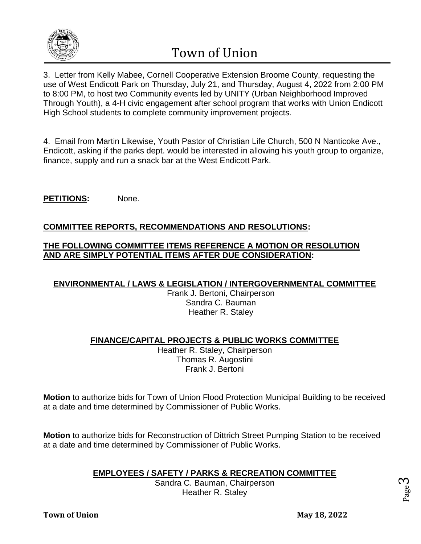

Town of Union

3. Letter from Kelly Mabee, Cornell Cooperative Extension Broome County, requesting the use of West Endicott Park on Thursday, July 21, and Thursday, August 4, 2022 from 2:00 PM to 8:00 PM, to host two Community events led by UNITY (Urban Neighborhood Improved Through Youth), a 4-H civic engagement after school program that works with Union Endicott High School students to complete community improvement projects.

4. Email from Martin Likewise, Youth Pastor of Christian Life Church, 500 N Nanticoke Ave., Endicott, asking if the parks dept. would be interested in allowing his youth group to organize, finance, supply and run a snack bar at the West Endicott Park.

PETITIONS: None.

## **COMMITTEE REPORTS, RECOMMENDATIONS AND RESOLUTIONS:**

#### **THE FOLLOWING COMMITTEE ITEMS REFERENCE A MOTION OR RESOLUTION AND ARE SIMPLY POTENTIAL ITEMS AFTER DUE CONSIDERATION:**

#### **ENVIRONMENTAL / LAWS & LEGISLATION / INTERGOVERNMENTAL COMMITTEE**

Frank J. Bertoni, Chairperson Sandra C. Bauman Heather R. Staley

#### **FINANCE/CAPITAL PROJECTS & PUBLIC WORKS COMMITTEE**

Heather R. Staley, Chairperson Thomas R. Augostini Frank J. Bertoni

**Motion** to authorize bids for Town of Union Flood Protection Municipal Building to be received at a date and time determined by Commissioner of Public Works.

**Motion** to authorize bids for Reconstruction of Dittrich Street Pumping Station to be received at a date and time determined by Commissioner of Public Works.

# **EMPLOYEES / SAFETY / PARKS & RECREATION COMMITTEE**

Sandra C. Bauman, Chairperson Heather R. Staley

Page ო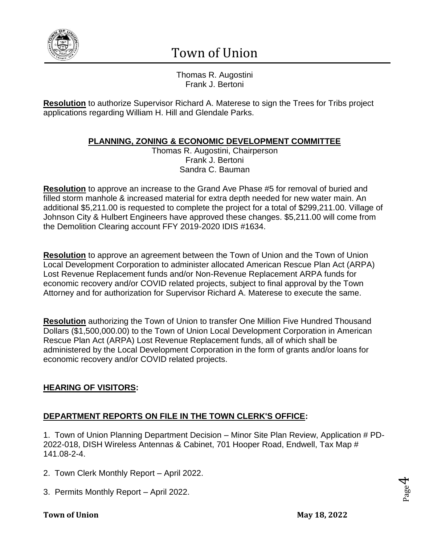

# Town of Union

Thomas R. Augostini Frank J. Bertoni

**Resolution** to authorize Supervisor Richard A. Materese to sign the Trees for Tribs project applications regarding William H. Hill and Glendale Parks.

# **PLANNING, ZONING & ECONOMIC DEVELOPMENT COMMITTEE**

Thomas R. Augostini, Chairperson Frank J. Bertoni Sandra C. Bauman

**Resolution** to approve an increase to the Grand Ave Phase #5 for removal of buried and filled storm manhole & increased material for extra depth needed for new water main. An additional \$5,211.00 is requested to complete the project for a total of \$299,211.00. Village of Johnson City & Hulbert Engineers have approved these changes. \$5,211.00 will come from the Demolition Clearing account FFY 2019-2020 IDIS #1634.

**Resolution** to approve an agreement between the Town of Union and the Town of Union Local Development Corporation to administer allocated American Rescue Plan Act (ARPA) Lost Revenue Replacement funds and/or Non-Revenue Replacement ARPA funds for economic recovery and/or COVID related projects, subject to final approval by the Town Attorney and for authorization for Supervisor Richard A. Materese to execute the same.

**Resolution** authorizing the Town of Union to transfer One Million Five Hundred Thousand Dollars (\$1,500,000.00) to the Town of Union Local Development Corporation in American Rescue Plan Act (ARPA) Lost Revenue Replacement funds, all of which shall be administered by the Local Development Corporation in the form of grants and/or loans for economic recovery and/or COVID related projects.

# **HEARING OF VISITORS:**

# **DEPARTMENT REPORTS ON FILE IN THE TOWN CLERK'S OFFICE:**

1. Town of Union Planning Department Decision – Minor Site Plan Review, Application # PD-2022-018, DISH Wireless Antennas & Cabinet, 701 Hooper Road, Endwell, Tax Map # 141.08-2-4.

- 2. Town Clerk Monthly Report April 2022.
- 3. Permits Monthly Report April 2022.

#### **Town of Union May 18, 2022**

Page  $\overline{\mathcal{A}}$